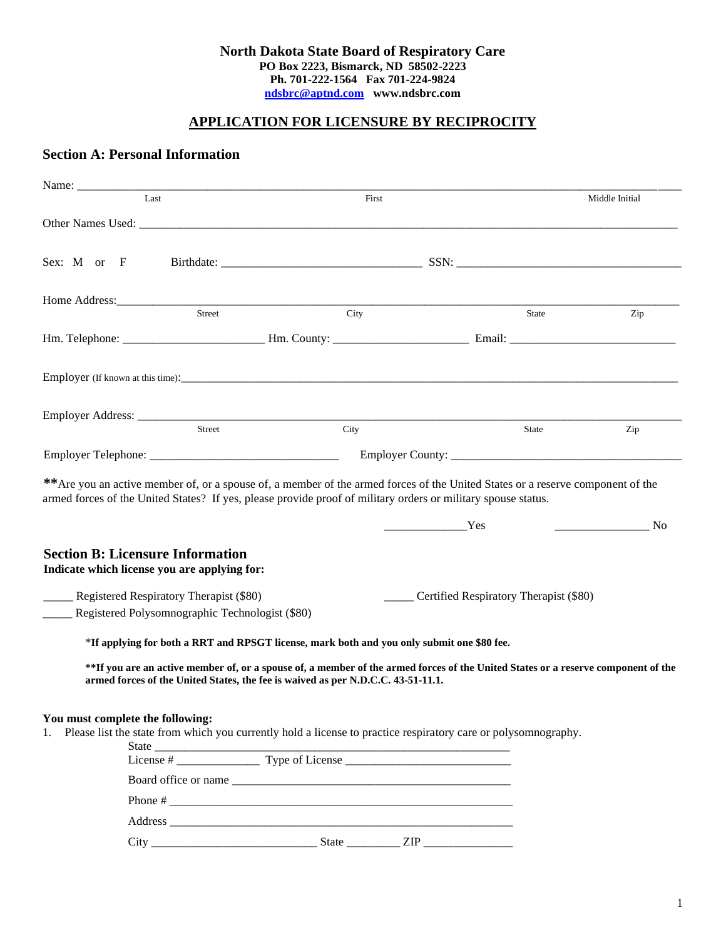#### **North Dakota State Board of Respiratory Care PO Box 2223, Bismarck, ND 58502-2223 Ph. 701-222-1564 Fax 701-224-9824 [ndsbrc@aptnd.com](mailto:ndsbrc@aptnd.com) www.ndsbrc.com**

# **APPLICATION FOR LICENSURE BY RECIPROCITY**

## **Section A: Personal Information**

|                                                                                         | Name: Name and the contract of the contract of the contract of the contract of the contract of the contract of the contract of the contract of the contract of the contract of the contract of the contract of the contract of |                                                                                                                                                                                                                        |                                        |                |  |
|-----------------------------------------------------------------------------------------|--------------------------------------------------------------------------------------------------------------------------------------------------------------------------------------------------------------------------------|------------------------------------------------------------------------------------------------------------------------------------------------------------------------------------------------------------------------|----------------------------------------|----------------|--|
| Last                                                                                    |                                                                                                                                                                                                                                | First                                                                                                                                                                                                                  |                                        | Middle Initial |  |
|                                                                                         |                                                                                                                                                                                                                                |                                                                                                                                                                                                                        |                                        |                |  |
| Sex: M or F                                                                             |                                                                                                                                                                                                                                |                                                                                                                                                                                                                        |                                        |                |  |
|                                                                                         | Home Address: <u>Street</u>                                                                                                                                                                                                    |                                                                                                                                                                                                                        |                                        |                |  |
|                                                                                         |                                                                                                                                                                                                                                | City                                                                                                                                                                                                                   | State                                  | Zip            |  |
|                                                                                         |                                                                                                                                                                                                                                |                                                                                                                                                                                                                        |                                        |                |  |
|                                                                                         |                                                                                                                                                                                                                                |                                                                                                                                                                                                                        |                                        |                |  |
|                                                                                         |                                                                                                                                                                                                                                |                                                                                                                                                                                                                        |                                        |                |  |
|                                                                                         | <b>Street</b>                                                                                                                                                                                                                  | City                                                                                                                                                                                                                   | State                                  | Zip            |  |
|                                                                                         |                                                                                                                                                                                                                                |                                                                                                                                                                                                                        |                                        |                |  |
| <b>Section B: Licensure Information</b><br>Indicate which license you are applying for: |                                                                                                                                                                                                                                |                                                                                                                                                                                                                        | Yes                                    | N <sub>0</sub> |  |
| ____ Registered Respiratory Therapist (\$80)                                            | Registered Polysomnographic Technologist (\$80)                                                                                                                                                                                |                                                                                                                                                                                                                        | Certified Respiratory Therapist (\$80) |                |  |
|                                                                                         |                                                                                                                                                                                                                                | *If applying for both a RRT and RPSGT license, mark both and you only submit one \$80 fee.                                                                                                                             |                                        |                |  |
|                                                                                         |                                                                                                                                                                                                                                | ** If you are an active member of, or a spouse of, a member of the armed forces of the United States or a reserve component of the<br>armed forces of the United States, the fee is waived as per N.D.C.C. 43-51-11.1. |                                        |                |  |
| You must complete the following:<br>1.                                                  |                                                                                                                                                                                                                                | Please list the state from which you currently hold a license to practice respiratory care or polysomnography.                                                                                                         |                                        |                |  |
|                                                                                         |                                                                                                                                                                                                                                |                                                                                                                                                                                                                        |                                        |                |  |
|                                                                                         |                                                                                                                                                                                                                                |                                                                                                                                                                                                                        |                                        |                |  |
|                                                                                         |                                                                                                                                                                                                                                |                                                                                                                                                                                                                        |                                        |                |  |
|                                                                                         |                                                                                                                                                                                                                                |                                                                                                                                                                                                                        |                                        |                |  |

City \_\_\_\_\_\_\_\_\_\_\_\_\_\_\_\_\_\_\_\_\_\_\_\_\_\_\_\_ State \_\_\_\_\_\_\_\_\_ ZIP \_\_\_\_\_\_\_\_\_\_\_\_\_\_\_